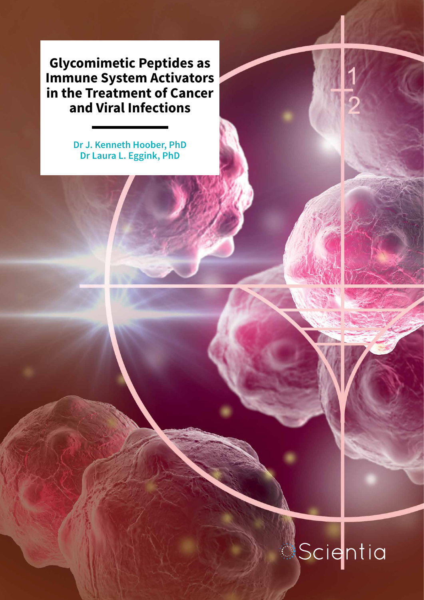**Glycomimetic Peptides as Immune System Activators in the Treatment of Cancer and Viral Infections**

> **Dr J. Kenneth Hoober, PhD Dr Laura L. Eggink, PhD**

# Scientia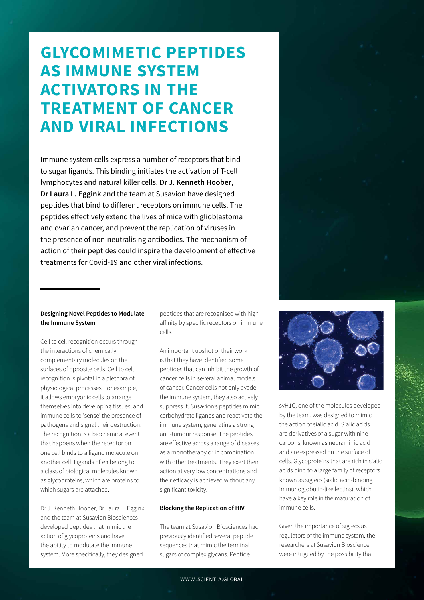### **GLYCOMIMETIC PEPTIDES AS IMMUNE SYSTEM ACTIVATORS IN THE TREATMENT OF CANCER AND VIRAL INFECTIONS**

Immune system cells express a number of receptors that bind to sugar ligands. This binding initiates the activation of T-cell lymphocytes and natural killer cells. **Dr J. Kenneth Hoober**, **Dr Laura L. Eggink** and the team at Susavion have designed peptides that bind to different receptors on immune cells. The peptides effectively extend the lives of mice with glioblastoma and ovarian cancer, and prevent the replication of viruses in the presence of non-neutralising antibodies. The mechanism of action of their peptides could inspire the development of effective treatments for Covid-19 and other viral infections.

#### **Designing Novel Peptides to Modulate the Immune System**

Cell to cell recognition occurs through the interactions of chemically complementary molecules on the surfaces of opposite cells. Cell to cell recognition is pivotal in a plethora of physiological processes. For example, it allows embryonic cells to arrange themselves into developing tissues, and immune cells to 'sense' the presence of pathogens and signal their destruction. The recognition is a biochemical event that happens when the receptor on one cell binds to a ligand molecule on another cell. Ligands often belong to a class of biological molecules known as glycoproteins, which are proteins to which sugars are attached.

Dr J. Kenneth Hoober, Dr Laura L. Eggink and the team at Susavion Biosciences developed peptides that mimic the action of glycoproteins and have the ability to modulate the immune system. More specifically, they designed

peptides that are recognised with high affinity by specific receptors on immune cells.

An important upshot of their work is that they have identified some peptides that can inhibit the growth of cancer cells in several animal models of cancer. Cancer cells not only evade the immune system, they also actively suppress it. Susavion's peptides mimic carbohydrate ligands and reactivate the immune system, generating a strong anti-tumour response. The peptides are effective across a range of diseases as a monotherapy or in combination with other treatments. They exert their action at very low concentrations and their efficacy is achieved without any significant toxicity.

#### **Blocking the Replication of HIV**

The team at Susavion Biosciences had previously identified several peptide sequences that mimic the terminal sugars of complex glycans. Peptide



svH1C, one of the molecules developed by the team, was designed to mimic the action of sialic acid. Sialic acids are derivatives of a sugar with nine carbons, known as neuraminic acid and are expressed on the surface of cells. Glycoproteins that are rich in sialic acids bind to a large family of receptors known as siglecs (sialic acid-binding immunoglobulin-like lectins), which have a key role in the maturation of immune cells.

Given the importance of siglecs as regulators of the immune system, the researchers at Susavion Bioscience were intrigued by the possibility that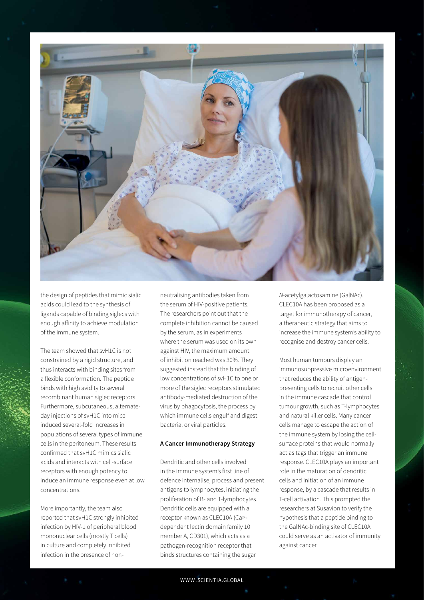

the design of peptides that mimic sialic acids could lead to the synthesis of ligands capable of binding siglecs with enough affinity to achieve modulation of the immune system.

The team showed that svH1C is not constrained by a rigid structure, and thus interacts with binding sites from a flexible conformation. The peptide binds with high avidity to several recombinant human siglec receptors. Furthermore, subcutaneous, alternateday injections of svH1C into mice induced several-fold increases in populations of several types of immune cells in the peritoneum. These results confirmed that svH1C mimics sialic acids and interacts with cell-surface receptors with enough potency to induce an immune response even at low concentrations.

More importantly, the team also reported that svH1C strongly inhibited infection by HIV-1 of peripheral blood mononuclear cells (mostly T cells) in culture and completely inhibited infection in the presence of non-

neutralising antibodies taken from the serum of HIV-positive patients. The researchers point out that the complete inhibition cannot be caused by the serum, as in experiments where the serum was used on its own against HIV, the maximum amount of inhibition reached was 30%. They suggested instead that the binding of low concentrations of svH1C to one or more of the siglec receptors stimulated antibody-mediated destruction of the virus by phagocytosis, the process by which immune cells engulf and digest bacterial or viral particles.

#### **A Cancer Immunotherapy Strategy**

Dendritic and other cells involved in the immune system's first line of defence internalise, process and present antigens to lymphocytes, initiating the proliferation of B- and T-lymphocytes. Dendritic cells are equipped with a receptor known as CLEC10A (Ca2+ dependent lectin domain family 10 member A, CD301), which acts as a pathogen-recognition receptor that binds structures containing the sugar

*N-*acetylgalactosamine (GalNAc). CLEC10A has been proposed as a target for immunotherapy of cancer, a therapeutic strategy that aims to increase the immune system's ability to recognise and destroy cancer cells.

Most human tumours display an immunosuppressive microenvironment that reduces the ability of antigenpresenting cells to recruit other cells in the immune cascade that control tumour growth, such as T-lymphocytes and natural killer cells. Many cancer cells manage to escape the action of the immune system by losing the cellsurface proteins that would normally act as tags that trigger an immune response. CLEC10A plays an important role in the maturation of dendritic cells and initiation of an immune response, by a cascade that results in T-cell activation. This prompted the researchers at Susavion to verify the hypothesis that a peptide binding to the GalNAc-binding site of CLEC10A could serve as an activator of immunity against cancer.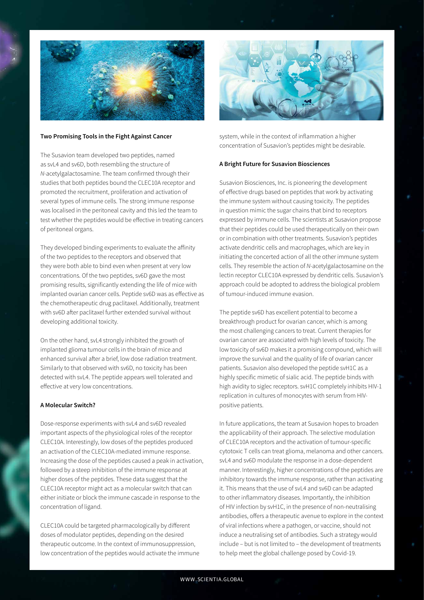

#### **Two Promising Tools in the Fight Against Cancer**

The Susavion team developed two peptides, named as svL4 and sv6D, both resembling the structure of *N-*acetylgalactosamine. The team confirmed through their studies that both peptides bound the CLEC10A receptor and promoted the recruitment, proliferation and activation of several types of immune cells. The strong immune response was localised in the peritoneal cavity and this led the team to test whether the peptides would be effective in treating cancers of peritoneal organs.

They developed binding experiments to evaluate the affinity of the two peptides to the receptors and observed that they were both able to bind even when present at very low concentrations. Of the two peptides, sv6D gave the most promising results, significantly extending the life of mice with implanted ovarian cancer cells. Peptide sv6D was as effective as the chemotherapeutic drug paclitaxel. Additionally, treatment with sv6D after paclitaxel further extended survival without developing additional toxicity.

On the other hand, svL4 strongly inhibited the growth of implanted glioma tumour cells in the brain of mice and enhanced survival after a brief, low dose radiation treatment. Similarly to that observed with sv6D, no toxicity has been detected with svL4. The peptide appears well tolerated and effective at very low concentrations.

#### **A Molecular Switch?**

Dose-response experiments with svL4 and sv6D revealed important aspects of the physiological roles of the receptor CLEC10A. Interestingly, low doses of the peptides produced an activation of the CLEC10A-mediated immune response. Increasing the dose of the peptides caused a peak in activation, followed by a steep inhibition of the immune response at higher doses of the peptides. These data suggest that the CLEC10A receptor might act as a molecular switch that can either initiate or block the immune cascade in response to the concentration of ligand.

CLEC10A could be targeted pharmacologically by different doses of modulator peptides, depending on the desired therapeutic outcome. In the context of immunosuppression, low concentration of the peptides would activate the immune



system, while in the context of inflammation a higher concentration of Susavion's peptides might be desirable.

#### **A Bright Future for Susavion Biosciences**

Susavion Biosciences, Inc. is pioneering the development of effective drugs based on peptides that work by activating the immune system without causing toxicity. The peptides in question mimic the sugar chains that bind to receptors expressed by immune cells. The scientists at Susavion propose that their peptides could be used therapeutically on their own or in combination with other treatments. Susavion's peptides activate dendritic cells and macrophages, which are key in initiating the concerted action of all the other immune system cells. They resemble the action of *N-*acetylgalactosamine on the lectin receptor CLEC10A expressed by dendritic cells. Susavion's approach could be adopted to address the biological problem of tumour-induced immune evasion.

The peptide sv6D has excellent potential to become a breakthrough product for ovarian cancer, which is among the most challenging cancers to treat. Current therapies for ovarian cancer are associated with high levels of toxicity. The low toxicity of sv6D makes it a promising compound, which will improve the survival and the quality of life of ovarian cancer patients. Susavion also developed the peptide svH1C as a highly specific mimetic of sialic acid. The peptide binds with high avidity to siglec receptors. svH1C completely inhibits HIV-1 replication in cultures of monocytes with serum from HIVpositive patients.

In future applications, the team at Susavion hopes to broaden the applicability of their approach. The selective modulation of CLEC10A receptors and the activation of tumour-specific cytotoxic T cells can treat glioma, melanoma and other cancers. svL4 and sv6D modulate the response in a dose-dependent manner. Interestingly, higher concentrations of the peptides are inhibitory towards the immune response, rather than activating it. This means that the use of svL4 and sv6D can be adapted to other inflammatory diseases. Importantly, the inhibition of HIV infection by svH1C, in the presence of non-neutralising antibodies, offers a therapeutic avenue to explore in the context of viral infections where a pathogen, or vaccine, should not induce a neutralising set of antibodies. Such a strategy would include – but is not limited to – the development of treatments to help meet the global challenge posed by Covid-19.